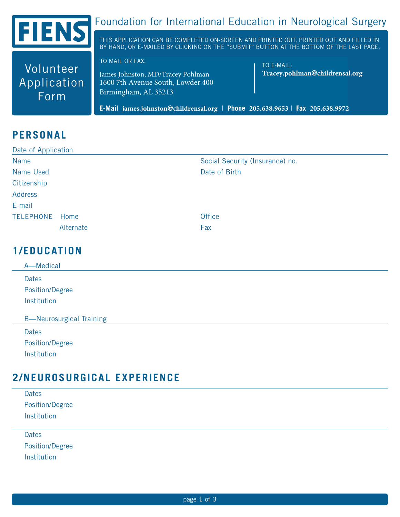

Volunteer

Application

Form

# Foundation for International Education in Neurological Surgery

THIS APPLICATION CAN BE COMPLETED ON-SCREEN AND PRINTED OUT, PRINTED OUT AND FILLED IN BY HAND, OR E-MAILED BY CLICKING ON THE "SUBMIT" BUTTON AT THE BOTTOM OF THE LAST PAGE.

TO MAIL OR FAX:

James Johnston, MD/Tracey Pohlman 1600 7th Avenue South, Lowder 400 Birmingham, AL 35213

TO E-MAIL: Tracey.pohlman@childrensal.org

E-Mail james.johnston@childrensal.org | Phone 205.638.9653 | Fax 205.638.9972

#### **PERSONAL**

| Date of Application |                                 |  |  |
|---------------------|---------------------------------|--|--|
| Name                | Social Security (Insurance) no. |  |  |
| Name Used           | Date of Birth                   |  |  |
| Citizenship         |                                 |  |  |
| Address             |                                 |  |  |
| E-mail              |                                 |  |  |
| TELEPHONE-Home      | <b>Office</b>                   |  |  |
| Alternate           | Fax                             |  |  |
|                     |                                 |  |  |

#### **1/EDUCATION**

| A-Medical                                       |
|-------------------------------------------------|
| <b>Dates</b>                                    |
| Position/Degree                                 |
| Institution                                     |
| <b>B-Neurosurgical Training</b><br><b>Dates</b> |
| <b>Position/Degree</b>                          |
|                                                 |

#### **2/NEUROSURGICAL EXPERIENCE**

| <b>Dates</b>           |  |  |  |
|------------------------|--|--|--|
| <b>Position/Degree</b> |  |  |  |
| Institution            |  |  |  |
|                        |  |  |  |
| Dates                  |  |  |  |

**Position/Degree** Institution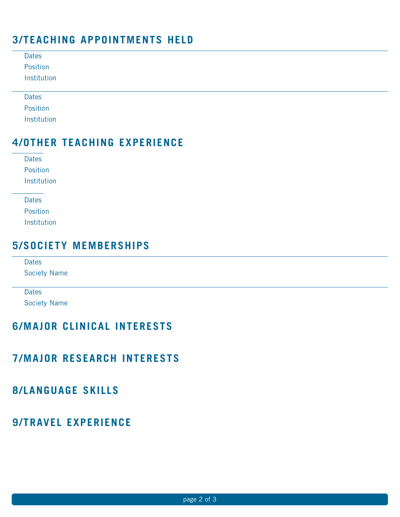## **3/TEACHING APPOINTMENTS HELD**

#### **4/OTHER TEACHING EXPERIENCE**

| Dates       |
|-------------|
| Position    |
| Institution |

| Dates       |
|-------------|
| Position    |
| Institution |

#### **5/SOCIETY MEMBERSHIPS**

| Dates     |  |
|-----------|--|
| $O = 1.4$ |  |

Society Name

Dates

Society Name

## **6/MAJOR CLINICAL INTERESTS**

#### **7/MAJOR RESEARCH INTERESTS**

# **8/LANGUAGE SKILLS**

## **9/TRAVEL EXPERIENCE**